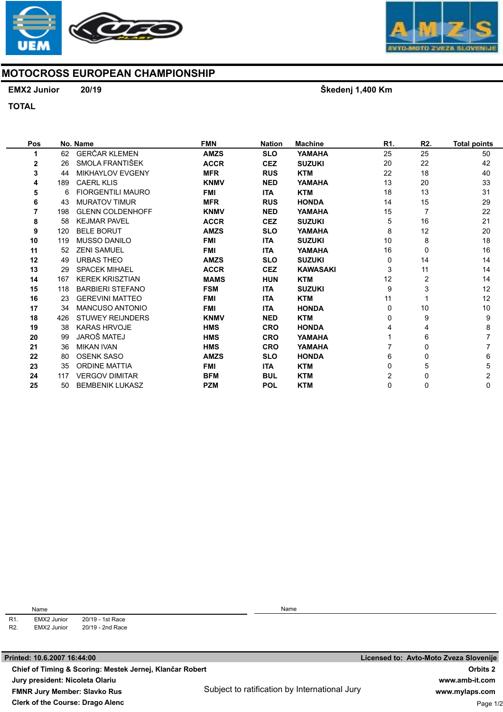



## MOTOCROSS EUROPEAN CHAMPIONSHIP

## EMX2 Junior 20/19

Škedenj 1,400 Km

TOTAL

| Pos |     | No. Name                 | <b>FMN</b>  | <b>Nation</b> | <b>Machine</b>  | R1. | R2. | <b>Total points</b> |
|-----|-----|--------------------------|-------------|---------------|-----------------|-----|-----|---------------------|
| 1   | 62  | <b>GERČAR KLEMEN</b>     | <b>AMZS</b> | <b>SLO</b>    | YAMAHA          | 25  | 25  | 50                  |
| 2   | 26  | SMOLA FRANTIŠEK          | <b>ACCR</b> | <b>CEZ</b>    | <b>SUZUKI</b>   | 20  | 22  | 42                  |
| 3   | 44  | <b>MIKHAYLOV EVGENY</b>  | <b>MFR</b>  | <b>RUS</b>    | <b>KTM</b>      | 22  | 18  | 40                  |
| 4   | 189 | <b>CAERL KLIS</b>        | <b>KNMV</b> | <b>NED</b>    | YAMAHA          | 13  | 20  | 33                  |
| 5   | 6   | <b>FIORGENTILI MAURO</b> | <b>FMI</b>  | <b>ITA</b>    | <b>KTM</b>      | 18  | 13  | 31                  |
| 6   | 43  | <b>MURATOV TIMUR</b>     | <b>MFR</b>  | <b>RUS</b>    | <b>HONDA</b>    | 14  | 15  | 29                  |
| 7   | 198 | <b>GLENN COLDENHOFF</b>  | <b>KNMV</b> | <b>NED</b>    | YAMAHA          | 15  |     | 22                  |
| 8   | 58  | <b>KEJMAR PAVEL</b>      | <b>ACCR</b> | <b>CEZ</b>    | <b>SUZUKI</b>   | 5   | 16  | 21                  |
| 9   | 120 | <b>BELE BORUT</b>        | <b>AMZS</b> | <b>SLO</b>    | YAMAHA          | 8   | 12  | 20                  |
| 10  | 119 | <b>MUSSO DANILO</b>      | <b>FMI</b>  | <b>ITA</b>    | <b>SUZUKI</b>   | 10  | 8   | 18                  |
| 11  | 52  | <b>ZENI SAMUEL</b>       | <b>FMI</b>  | <b>ITA</b>    | YAMAHA          | 16  | 0   | 16                  |
| 12  | 49  | <b>URBAS THEO</b>        | <b>AMZS</b> | <b>SLO</b>    | <b>SUZUKI</b>   | 0   | 14  | 14                  |
| 13  | 29  | <b>SPACEK MIHAEL</b>     | <b>ACCR</b> | <b>CEZ</b>    | <b>KAWASAKI</b> | 3   | 11  | 14                  |
| 14  | 167 | <b>KEREK KRISZTIAN</b>   | <b>MAMS</b> | <b>HUN</b>    | <b>KTM</b>      | 12  | 2   | 14                  |
| 15  | 118 | <b>BARBIERI STEFANO</b>  | <b>FSM</b>  | <b>ITA</b>    | <b>SUZUKI</b>   | 9   | 3   | 12                  |
| 16  | 23  | <b>GEREVINI MATTEO</b>   | <b>FMI</b>  | <b>ITA</b>    | <b>KTM</b>      | 11  |     | 12                  |
| 17  | 34  | <b>MANCUSO ANTONIO</b>   | <b>FMI</b>  | <b>ITA</b>    | <b>HONDA</b>    | 0   | 10  | 10                  |
| 18  | 426 | <b>STUWEY REIJNDERS</b>  | <b>KNMV</b> | <b>NED</b>    | <b>KTM</b>      | 0   | 9   | 9                   |
| 19  | 38  | <b>KARAS HRVOJE</b>      | <b>HMS</b>  | <b>CRO</b>    | <b>HONDA</b>    |     | 4   | 8                   |
| 20  | 99  | JAROŠ MATEJ              | <b>HMS</b>  | <b>CRO</b>    | YAMAHA          |     | 6   | $\overline{7}$      |
| 21  | 36  | <b>MIKAN IVAN</b>        | <b>HMS</b>  | <b>CRO</b>    | YAMAHA          |     | 0   | $\overline{7}$      |
| 22  | 80  | <b>OSENK SASO</b>        | <b>AMZS</b> | <b>SLO</b>    | <b>HONDA</b>    | 6   | 0   | 6                   |
| 23  | 35  | <b>ORDINE MATTIA</b>     | <b>FMI</b>  | <b>ITA</b>    | <b>KTM</b>      | 0   | 5   | 5                   |
| 24  | 117 | <b>VERGOV DIMITAR</b>    | <b>BFM</b>  | <b>BUL</b>    | <b>KTM</b>      | 2   | 0   | 2                   |
| 25  | 50  | <b>BEMBENIK LUKASZ</b>   | <b>PZM</b>  | <b>POL</b>    | <b>KTM</b>      | 0   | 0   | 0                   |

R1. R2. Name EMX2 Junior 20/19 - 1st Race<br>EMX2 Junior 20/19 - 2nd Race

20/19 - 2nd Race

Name

Subject to ratification by International Jury